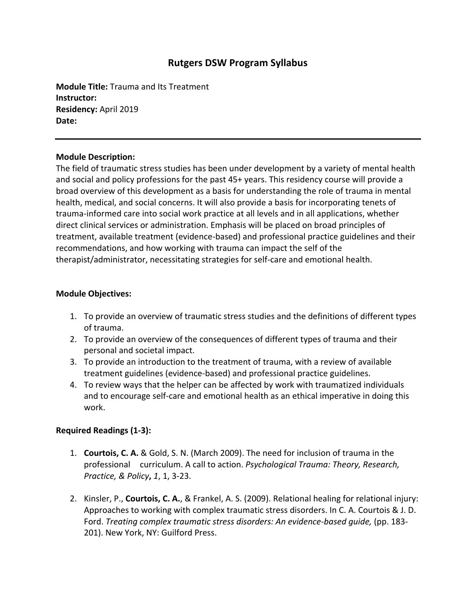# **Rutgers DSW Program Syllabus**

**Module Title:** Trauma and Its Treatment **Instructor: Residency:** April 2019 **Date:** 

### **Module Description:**

The field of traumatic stress studies has been under development by a variety of mental health and social and policy professions for the past 45+ years. This residency course will provide a broad overview of this development as a basis for understanding the role of trauma in mental health, medical, and social concerns. It will also provide a basis for incorporating tenets of trauma-informed care into social work practice at all levels and in all applications, whether direct clinical services or administration. Emphasis will be placed on broad principles of treatment, available treatment (evidence-based) and professional practice guidelines and their recommendations, and how working with trauma can impact the self of the therapist/administrator, necessitating strategies for self-care and emotional health.

### **Module Objectives:**

- 1. To provide an overview of traumatic stress studies and the definitions of different types of trauma.
- 2. To provide an overview of the consequences of different types of trauma and their personal and societal impact.
- 3. To provide an introduction to the treatment of trauma, with a review of available treatment guidelines (evidence-based) and professional practice guidelines.
- 4. To review ways that the helper can be affected by work with traumatized individuals and to encourage self-care and emotional health as an ethical imperative in doing this work.

## **Required Readings (1-3):**

- 1. **Courtois, C. A.** & Gold, S. N. (March 2009). The need for inclusion of trauma in the professional curriculum. A call to action. *Psychological Trauma: Theory, Research, Practice, & Policy***,** *1*, 1, 3-23.
- 2. Kinsler, P., **Courtois, C. A.**, & Frankel, A. S. (2009). Relational healing for relational injury: Approaches to working with complex traumatic stress disorders. In C. A. Courtois & J. D. Ford. *Treating complex traumatic stress disorders: An evidence-based guide,* (pp. 183- 201). New York, NY: Guilford Press.